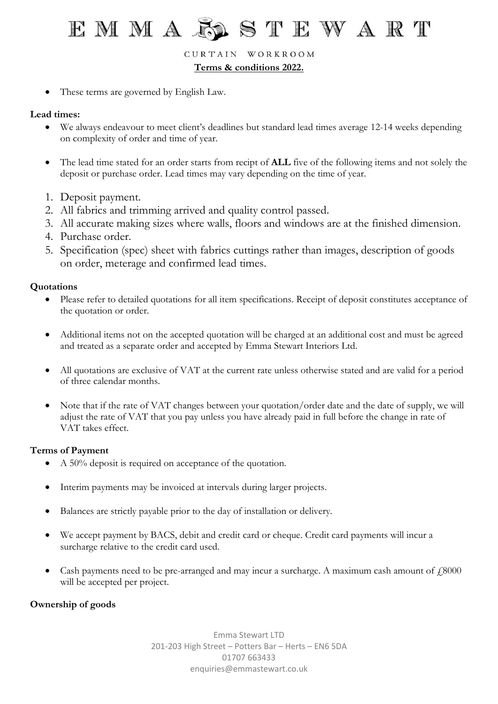CURTAIN WORKROOM

**Terms & conditions 2022.**

These terms are governed by English Law.

## **Lead times:**

- We always endeavour to meet client's deadlines but standard lead times average 12-14 weeks depending on complexity of order and time of year.
- The lead time stated for an order starts from recipt of **ALL** five of the following items and not solely the deposit or purchase order. Lead times may vary depending on the time of year.
- 1. Deposit payment.
- 2. All fabrics and trimming arrived and quality control passed.
- 3. All accurate making sizes where walls, floors and windows are at the finished dimension.
- 4. Purchase order.
- 5. Specification (spec) sheet with fabrics cuttings rather than images, description of goods on order, meterage and confirmed lead times.

## **Quotations**

- Please refer to detailed quotations for all item specifications. Receipt of deposit constitutes acceptance of the quotation or order.
- Additional items not on the accepted quotation will be charged at an additional cost and must be agreed and treated as a separate order and accepted by Emma Stewart Interiors Ltd.
- All quotations are exclusive of VAT at the current rate unless otherwise stated and are valid for a period of three calendar months.
- Note that if the rate of VAT changes between your quotation/order date and the date of supply, we will adjust the rate of VAT that you pay unless you have already paid in full before the change in rate of VAT takes effect.

## **Terms of Payment**

- A 50% deposit is required on acceptance of the quotation.
- Interim payments may be invoiced at intervals during larger projects.
- Balances are strictly payable prior to the day of installation or delivery.
- We accept payment by BACS, debit and credit card or cheque. Credit card payments will incur a surcharge relative to the credit card used.
- Cash payments need to be pre-arranged and may incur a surcharge. A maximum cash amount of  $f$ 8000 will be accepted per project.

## **Ownership of goods**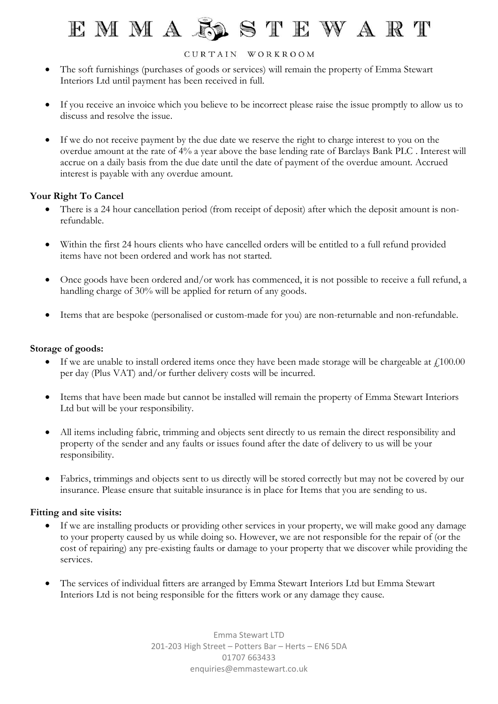#### CURTAIN WORKROOM

- The soft furnishings (purchases of goods or services) will remain the property of Emma Stewart Interiors Ltd until payment has been received in full.
- If you receive an invoice which you believe to be incorrect please raise the issue promptly to allow us to discuss and resolve the issue.
- If we do not receive payment by the due date we reserve the right to charge interest to you on the overdue amount at the rate of 4% a year above the base lending rate of Barclays Bank PLC . Interest will accrue on a daily basis from the due date until the date of payment of the overdue amount. Accrued interest is payable with any overdue amount.

## **Your Right To Cancel**

- There is a 24 hour cancellation period (from receipt of deposit) after which the deposit amount is nonrefundable.
- Within the first 24 hours clients who have cancelled orders will be entitled to a full refund provided items have not been ordered and work has not started.
- Once goods have been ordered and/or work has commenced, it is not possible to receive a full refund, a handling charge of 30% will be applied for return of any goods.
- Items that are bespoke (personalised or custom-made for you) are non-returnable and non-refundable.

### **Storage of goods:**

- If we are unable to install ordered items once they have been made storage will be chargeable at  $\mu$ 100.00 per day (Plus VAT) and/or further delivery costs will be incurred.
- Items that have been made but cannot be installed will remain the property of Emma Stewart Interiors Ltd but will be your responsibility.
- All items including fabric, trimming and objects sent directly to us remain the direct responsibility and property of the sender and any faults or issues found after the date of delivery to us will be your responsibility.
- Fabrics, trimmings and objects sent to us directly will be stored correctly but may not be covered by our insurance. Please ensure that suitable insurance is in place for Items that you are sending to us.

### **Fitting and site visits:**

- If we are installing products or providing other services in your property, we will make good any damage to your property caused by us while doing so. However, we are not responsible for the repair of (or the cost of repairing) any pre-existing faults or damage to your property that we discover while providing the services.
- The services of individual fitters are arranged by Emma Stewart Interiors Ltd but Emma Stewart Interiors Ltd is not being responsible for the fitters work or any damage they cause.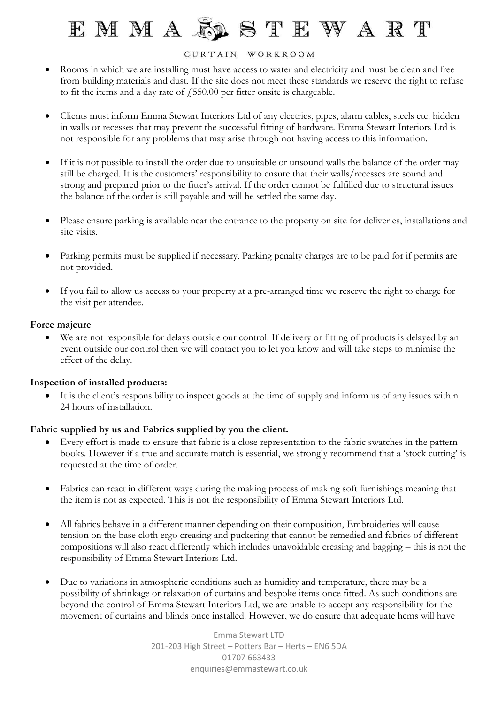#### CURTAIN WORKROOM

- Rooms in which we are installing must have access to water and electricity and must be clean and free from building materials and dust. If the site does not meet these standards we reserve the right to refuse to fit the items and a day rate of  $\sqrt{550.00}$  per fitter onsite is chargeable.
- Clients must inform Emma Stewart Interiors Ltd of any electrics, pipes, alarm cables, steels etc. hidden in walls or recesses that may prevent the successful fitting of hardware. Emma Stewart Interiors Ltd is not responsible for any problems that may arise through not having access to this information.
- If it is not possible to install the order due to unsuitable or unsound walls the balance of the order may still be charged. It is the customers' responsibility to ensure that their walls/recesses are sound and strong and prepared prior to the fitter's arrival. If the order cannot be fulfilled due to structural issues the balance of the order is still payable and will be settled the same day.
- Please ensure parking is available near the entrance to the property on site for deliveries, installations and site visits.
- Parking permits must be supplied if necessary. Parking penalty charges are to be paid for if permits are not provided.
- If you fail to allow us access to your property at a pre-arranged time we reserve the right to charge for the visit per attendee.

### **Force majeure**

• We are not responsible for delays outside our control. If delivery or fitting of products is delayed by an event outside our control then we will contact you to let you know and will take steps to minimise the effect of the delay.

## **Inspection of installed products:**

It is the client's responsibility to inspect goods at the time of supply and inform us of any issues within 24 hours of installation.

## **Fabric supplied by us and Fabrics supplied by you the client.**

- Every effort is made to ensure that fabric is a close representation to the fabric swatches in the pattern books. However if a true and accurate match is essential, we strongly recommend that a 'stock cutting' is requested at the time of order.
- Fabrics can react in different ways during the making process of making soft furnishings meaning that the item is not as expected. This is not the responsibility of Emma Stewart Interiors Ltd.
- All fabrics behave in a different manner depending on their composition, Embroideries will cause tension on the base cloth ergo creasing and puckering that cannot be remedied and fabrics of different compositions will also react differently which includes unavoidable creasing and bagging – this is not the responsibility of Emma Stewart Interiors Ltd.
- Due to variations in atmospheric conditions such as humidity and temperature, there may be a possibility of shrinkage or relaxation of curtains and bespoke items once fitted. As such conditions are beyond the control of Emma Stewart Interiors Ltd, we are unable to accept any responsibility for the movement of curtains and blinds once installed. However, we do ensure that adequate hems will have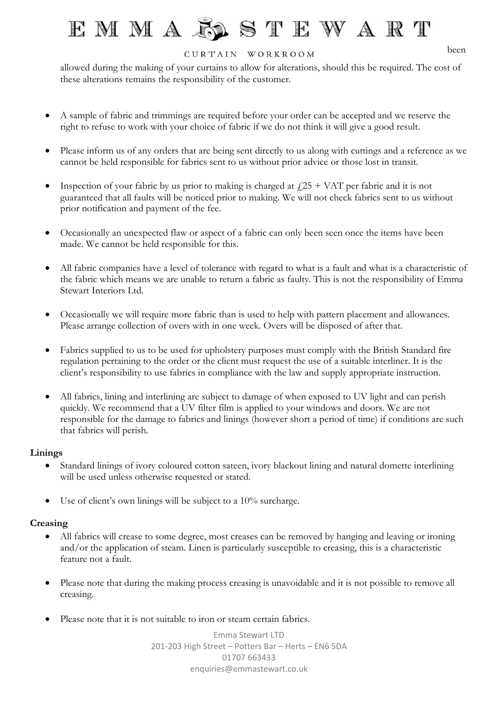### CURTAIN WORKROOM

been

allowed during the making of your curtains to allow for alterations, should this be required. The cost of these alterations remains the responsibility of the customer.

- A sample of fabric and trimmings are required before your order can be accepted and we reserve the right to refuse to work with your choice of fabric if we do not think it will give a good result.
- Please inform us of any orders that are being sent directly to us along with cuttings and a reference as we cannot be held responsible for fabrics sent to us without prior advice or those lost in transit.
- Inspection of your fabric by us prior to making is charged at  $\frac{f}{f}$  + VAT per fabric and it is not guaranteed that all faults will be noticed prior to making. We will not check fabrics sent to us without prior notification and payment of the fee.
- Occasionally an unexpected flaw or aspect of a fabric can only been seen once the items have been made. We cannot be held responsible for this.
- All fabric companies have a level of tolerance with regard to what is a fault and what is a characteristic of the fabric which means we are unable to return a fabric as faulty. This is not the responsibility of Emma Stewart Interiors Ltd.
- Occasionally we will require more fabric than is used to help with pattern placement and allowances. Please arrange collection of overs with in one week. Overs will be disposed of after that.
- Fabrics supplied to us to be used for upholstery purposes must comply with the British Standard fire regulation pertaining to the order or the client must request the use of a suitable interliner. It is the client's responsibility to use fabrics in compliance with the law and supply appropriate instruction.
- All fabrics, lining and interlining are subject to damage of when exposed to UV light and can perish quickly. We recommend that a UV filter film is applied to your windows and doors. We are not responsible for the damage to fabrics and linings (however short a period of time) if conditions are such that fabrics will perish.

### **Linings**

- Standard linings of ivory coloured cotton sateen, ivory blackout lining and natural domette interlining will be used unless otherwise requested or stated.
- Use of client's own linings will be subject to a 10% surcharge.

### **Creasing**

- All fabrics will crease to some degree, most creases can be removed by hanging and leaving or ironing and/or the application of steam. Linen is particularly susceptible to creasing, this is a characteristic feature not a fault.
- Please note that during the making process creasing is unavoidable and it is not possible to remove all creasing.
- Please note that it is not suitable to iron or steam certain fabrics.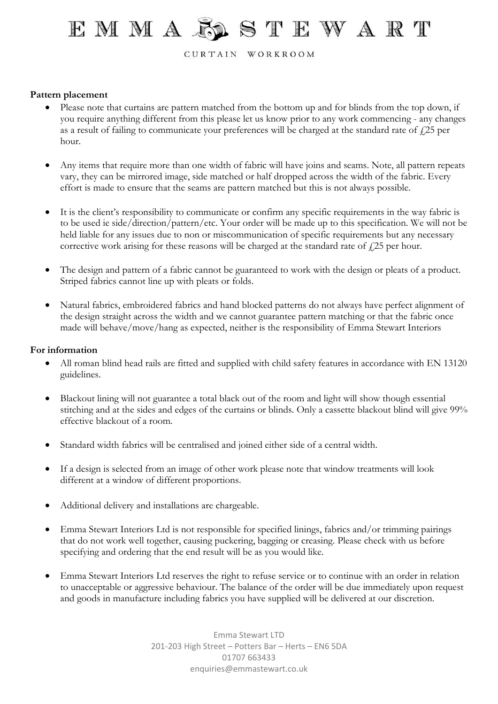CURTAIN WORKROOM

### **Pattern placement**

- Please note that curtains are pattern matched from the bottom up and for blinds from the top down, if you require anything different from this please let us know prior to any work commencing - any changes as a result of failing to communicate your preferences will be charged at the standard rate of  $\ell$ 25 per hour.
- Any items that require more than one width of fabric will have joins and seams. Note, all pattern repeats vary, they can be mirrored image, side matched or half dropped across the width of the fabric. Every effort is made to ensure that the seams are pattern matched but this is not always possible.
- It is the client's responsibility to communicate or confirm any specific requirements in the way fabric is to be used ie side/direction/pattern/etc. Your order will be made up to this specification. We will not be held liable for any issues due to non or miscommunication of specific requirements but any necessary corrective work arising for these reasons will be charged at the standard rate of  $\ell$ 25 per hour.
- The design and pattern of a fabric cannot be guaranteed to work with the design or pleats of a product. Striped fabrics cannot line up with pleats or folds.
- Natural fabrics, embroidered fabrics and hand blocked patterns do not always have perfect alignment of the design straight across the width and we cannot guarantee pattern matching or that the fabric once made will behave/move/hang as expected, neither is the responsibility of Emma Stewart Interiors

#### **For information**

- All roman blind head rails are fitted and supplied with child safety features in accordance with EN 13120 guidelines.
- Blackout lining will not guarantee a total black out of the room and light will show though essential stitching and at the sides and edges of the curtains or blinds. Only a cassette blackout blind will give 99% effective blackout of a room.
- Standard width fabrics will be centralised and joined either side of a central width.
- If a design is selected from an image of other work please note that window treatments will look different at a window of different proportions.
- Additional delivery and installations are chargeable.
- Emma Stewart Interiors Ltd is not responsible for specified linings, fabrics and/or trimming pairings that do not work well together, causing puckering, bagging or creasing. Please check with us before specifying and ordering that the end result will be as you would like.
- Emma Stewart Interiors Ltd reserves the right to refuse service or to continue with an order in relation to unacceptable or aggressive behaviour. The balance of the order will be due immediately upon request and goods in manufacture including fabrics you have supplied will be delivered at our discretion.